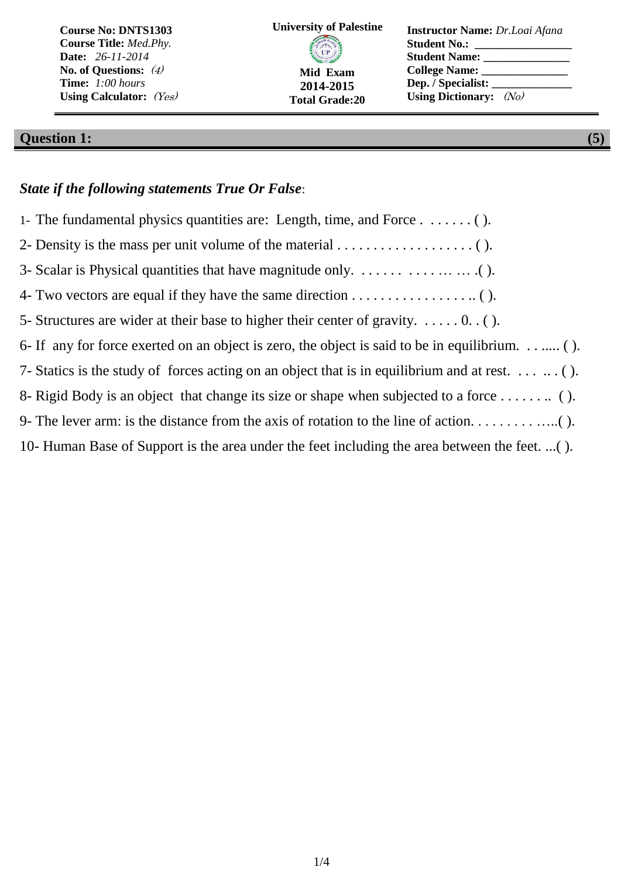| <b>Course No: DNTS1303</b>     | <b>University of Palestine</b> | <b>Instructor Name:</b> Dr.Loai Afana |
|--------------------------------|--------------------------------|---------------------------------------|
| <b>Course Title: Med. Phy.</b> | <b>COLLEGE STATE</b>           | <b>Student No.:</b>                   |
| <b>Date:</b> 26-11-2014        |                                | <b>Student Name:</b>                  |
| No. of Questions: $(4)$        | Mid Exam                       | College Name:                         |
| Time: 1:00 hours               | 2014-2015                      | Dep. / Specialist:                    |
| Using Calculator: $(Yes)$      | <b>Total Grade:20</b>          | Using Dictionary: $(No)$              |

# **Question 1: (5)**

#### *State if the following statements True Or False*:

| 1- The fundamental physics quantities are: Length, time, and Force $\dots\dots\dots$ .                      |
|-------------------------------------------------------------------------------------------------------------|
| 2- Density is the mass per unit volume of the material $\dots \dots \dots \dots \dots \dots$                |
|                                                                                                             |
| 4- Two vectors are equal if they have the same direction $\dots \dots \dots \dots \dots \dots$              |
| 5- Structures are wider at their base to higher their center of gravity. $\dots$ 0. ().                     |
| 6- If any for force exerted on an object is zero, the object is said to be in equilibrium ().               |
| 7- Statics is the study of forces acting on an object that is in equilibrium and at rest. $\dots$ $\dots$ . |
|                                                                                                             |
|                                                                                                             |
| 10- Human Base of Support is the area under the feet including the area between the feet. ().               |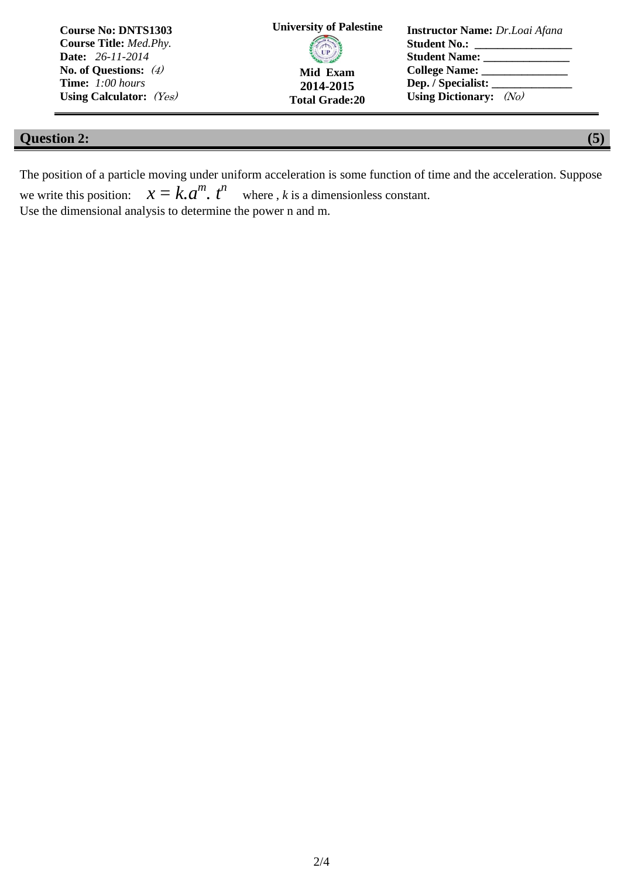| <b>Course No: DNTS1303</b>     | <b>University of Palestine</b> | <b>Instructor Name:</b> Dr.Loai Afana |
|--------------------------------|--------------------------------|---------------------------------------|
| <b>Course Title: Med. Phy.</b> |                                | <b>Student No.:</b>                   |
| <b>Date:</b> 26-11-2014        | <b>CIP</b>                     | <b>Student Name:</b>                  |
| No. of Questions: $(4)$        | Mid Exam                       | College Name:                         |
| <b>Time:</b> 1:00 hours        | 2014-2015                      |                                       |
| Using Calculator: $(Y_{es})$   | <b>Total Grade:20</b>          | Using Dictionary: $(N_0)$             |

### **Question 2: (5)**

The position of a particle moving under uniform acceleration is some function of time and the acceleration. Suppose we write this position: *m . t n* where , *k* is a dimensionless constant. Use the dimensional analysis to determine the power n and m.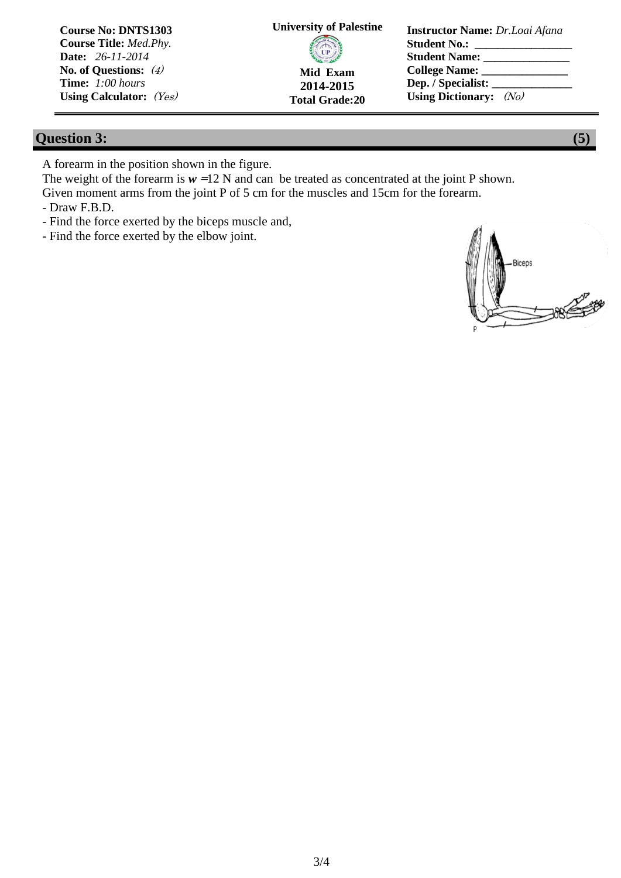| <b>Course No: DNTS1303</b>     | <b>University of Palestine</b> | <b>Instructor Name:</b> Dr.Loai Afana |
|--------------------------------|--------------------------------|---------------------------------------|
| <b>Course Title: Med. Phy.</b> |                                | <b>Student No.:</b>                   |
| <b>Date:</b> 26-11-2014        | <b>CIP</b>                     | <b>Student Name:</b>                  |
| No. of Questions: $(4)$        | Mid Exam                       | College Name:                         |
| Time: 1:00 hours               | 2014-2015                      | Dep. / Specialist:                    |
| Using Calculator: $(Y_{es})$   | <b>Total Grade:20</b>          | Using Dictionary: $(N_0)$             |

### **Question 3: (5)**

A forearm in the position shown in the figure.

The weight of the forearm is  $w = 12$  N and can be treated as concentrated at the joint P shown. Given moment arms from the joint P of 5 cm for the muscles and 15cm for the forearm.

- Draw F.B.D.

- Find the force exerted by the biceps muscle and,
- Find the force exerted by the elbow joint.

**Biceps CONTROLLER**